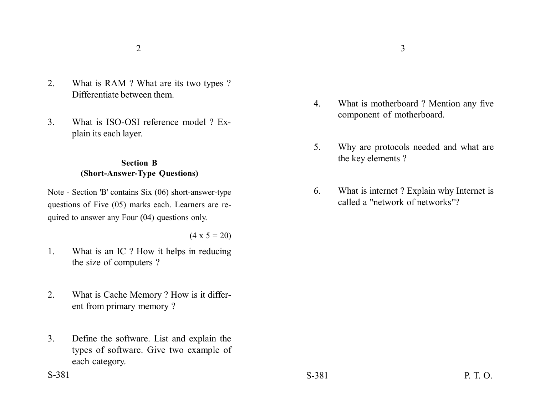- 2. What is RAM ? What are its two types ? Differentiate between them.
- 3. What is ISO-OSI reference model ? Explain its each layer.

## **Section B (Short-Answer-Type Questions)**

Note - Section 'B' contains Six (06) short-answer-type questions of Five (05) marks each. Learners are required to answer any Four (04) questions only.

 $(4 \times 5 = 20)$ 

- 1. What is an IC ? How it helps in reducing the size of computers ?
- 2. What is Cache Memory ? How is it different from primary memory ?
- 3. Define the software. List and explain the types of software. Give two example of each category.
- 4. What is motherboard ? Mention any five component of motherboard.
- 5. Why are protocols needed and what are the key elements ?
- 6. What is internet ? Explain why Internet is called a "network of networks"?